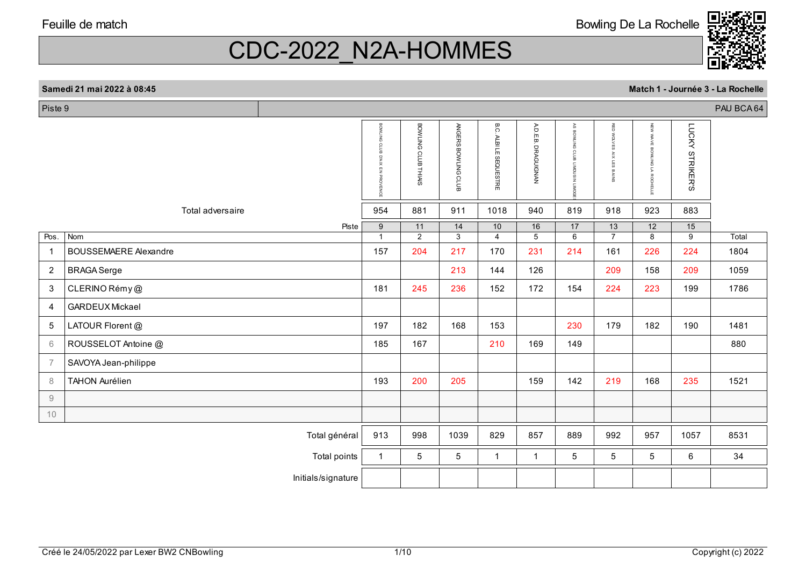Piste 9

CDC-2022\_N2A-HOMMES

#### **Samedi 21 mai 2022 à 08:45**

|                |                              | BOWLING CLUB D'AIX EN PROVENCE | BOWLING CLUB THIAIS  | ANGERS BOWLING CLUB  | B.C.<br><b>ALBI LE SEQUESTRE</b> | A.D.E.B. DRAGUIGNAN  | $\mathbb{R}^S$<br><b>BOWLING</b><br>$\mathbf{\Omega}$<br>늚<br>NISOONIT<br><b>LIMOGI</b> | RED<br><b>NOW</b><br>ΧES<br>$\,$<br>듮<br>$\, \varpi$<br><b>AINS</b> | NEW<br><b>WAVE</b><br><b>BOWLING</b><br>5<br>ROCHELL | LUCKY<br><b>STRIKER'S</b> |       |
|----------------|------------------------------|--------------------------------|----------------------|----------------------|----------------------------------|----------------------|-----------------------------------------------------------------------------------------|---------------------------------------------------------------------|------------------------------------------------------|---------------------------|-------|
|                | Total adversaire             | 954                            | 881                  | 911                  | 1018                             | 940                  | 819                                                                                     | 918                                                                 | 923                                                  | 883                       |       |
| Pos.           | Piste<br>Nom                 | 9<br>$\overline{1}$            | 11<br>$\overline{2}$ | 14<br>$\overline{3}$ | 10<br>$\overline{4}$             | 16<br>$\overline{5}$ | 17<br>6                                                                                 | 13<br>$\overline{7}$                                                | 12<br>8                                              | 15<br>9                   | Total |
| $\overline{1}$ | <b>BOUSSEMAERE Alexandre</b> | 157                            | 204                  | 217                  | 170                              | 231                  | 214                                                                                     | 161                                                                 | 226                                                  | 224                       | 1804  |
| $\overline{2}$ | <b>BRAGA Serge</b>           |                                |                      | 213                  | 144                              | 126                  |                                                                                         | 209                                                                 | 158                                                  | 209                       | 1059  |
| 3              | CLERINO Rémy@                | 181                            | 245                  | 236                  | 152                              | 172                  | 154                                                                                     | 224                                                                 | 223                                                  | 199                       | 1786  |
| $\overline{4}$ | <b>GARDEUX Mickael</b>       |                                |                      |                      |                                  |                      |                                                                                         |                                                                     |                                                      |                           |       |
| 5              | LATOUR Florent @             | 197                            | 182                  | 168                  | 153                              |                      | 230                                                                                     | 179                                                                 | 182                                                  | 190                       | 1481  |
| 6              | ROUSSELOT Antoine @          | 185                            | 167                  |                      | 210                              | 169                  | 149                                                                                     |                                                                     |                                                      |                           | 880   |
| $\overline{7}$ | SAVOYA Jean-philippe         |                                |                      |                      |                                  |                      |                                                                                         |                                                                     |                                                      |                           |       |
| 8              | <b>TAHON Aurélien</b>        | 193                            | 200                  | 205                  |                                  | 159                  | 142                                                                                     | 219                                                                 | 168                                                  | 235                       | 1521  |
| 9              |                              |                                |                      |                      |                                  |                      |                                                                                         |                                                                     |                                                      |                           |       |
| 10             |                              |                                |                      |                      |                                  |                      |                                                                                         |                                                                     |                                                      |                           |       |
|                | Total général                | 913                            | 998                  | 1039                 | 829                              | 857                  | 889                                                                                     | 992                                                                 | 957                                                  | 1057                      | 8531  |
|                | Total points                 | $\mathbf{1}$                   | $5\phantom{.0}$      | $5\phantom{.0}$      | $\overline{1}$                   | $\mathbf{1}$         | 5                                                                                       | 5                                                                   | 5                                                    | 6                         | 34    |
|                | Initials/signature           |                                |                      |                      |                                  |                      |                                                                                         |                                                                     |                                                      |                           |       |
|                |                              |                                |                      |                      |                                  |                      |                                                                                         |                                                                     |                                                      |                           |       |

PAU BCA 64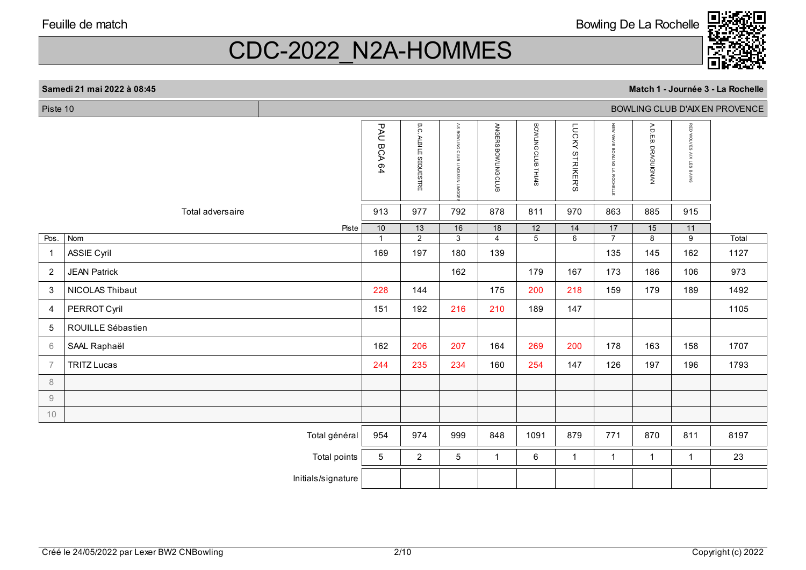

# CDC-2022\_N2A-HOMMES

| Piste 10               |                     |                    |                 |                                  |                                          |                     |                     | BOWLING CLUB D'AIX EN PROVENCE |                                 |                        |                                       |       |  |  |  |
|------------------------|---------------------|--------------------|-----------------|----------------------------------|------------------------------------------|---------------------|---------------------|--------------------------------|---------------------------------|------------------------|---------------------------------------|-------|--|--|--|
|                        |                     |                    | PAU BCA 64      | B.C.<br><b>ALBI LE SEQUESTRE</b> | AS BOWLING CLUB LIMOUSIN<br><b>LIMOC</b> | ANGERS BOWLING CLUB | BOWLING CLUB THIAIS | LUCKY STRIKER'S                | NEW WAVE BOWLING LA<br>ROCHELLI | A.D.E.B.<br>DRAGUIGNAN | RED WOLVES<br><b>AIX LES</b><br>BAINS |       |  |  |  |
|                        | Total adversaire    |                    | 913             | 977                              | 792                                      | 878                 | 811                 | 970                            | 863                             | 885                    | 915                                   |       |  |  |  |
|                        |                     | Piste              | 10              | 13                               | 16                                       | 18                  | 12                  | 14                             | 17                              | 15                     | 11                                    |       |  |  |  |
| Pos.                   | Nom                 |                    | $\mathbf{1}$    | $\overline{2}$                   | $\overline{3}$                           | $\overline{4}$      | $\overline{5}$      | $\overline{6}$                 | $\overline{7}$                  | 8                      | $\overline{9}$                        | Total |  |  |  |
| $\overline{1}$         | <b>ASSIE Cyril</b>  |                    | 169             | 197                              | 180                                      | 139                 |                     |                                | 135                             | 145                    | 162                                   | 1127  |  |  |  |
| $\overline{2}$         | <b>JEAN Patrick</b> |                    |                 |                                  | 162                                      |                     | 179                 | 167                            | 173                             | 186                    | 106                                   | 973   |  |  |  |
| 3                      | NICOLAS Thibaut     |                    | 228             | 144                              |                                          | 175                 | 200                 | 218                            | 159                             | 179                    | 189                                   | 1492  |  |  |  |
| $\overline{4}$         | PERROT Cyril        |                    | 151             | 192                              | 216                                      | 210                 | 189                 | 147                            |                                 |                        |                                       | 1105  |  |  |  |
| 5                      | ROUILLE Sébastien   |                    |                 |                                  |                                          |                     |                     |                                |                                 |                        |                                       |       |  |  |  |
| 6                      | SAAL Raphaël        |                    | 162             | 206                              | 207                                      | 164                 | 269                 | 200                            | 178                             | 163                    | 158                                   | 1707  |  |  |  |
| $\overline{7}$         | <b>TRITZ Lucas</b>  |                    | 244             | 235                              | 234                                      | 160                 | 254                 | 147                            | 126                             | 197                    | 196                                   | 1793  |  |  |  |
| 8                      |                     |                    |                 |                                  |                                          |                     |                     |                                |                                 |                        |                                       |       |  |  |  |
| $\mathrel{\mathsf{g}}$ |                     |                    |                 |                                  |                                          |                     |                     |                                |                                 |                        |                                       |       |  |  |  |
| 10                     |                     |                    |                 |                                  |                                          |                     |                     |                                |                                 |                        |                                       |       |  |  |  |
|                        |                     | Total général      | 954             | 974                              | 999                                      | 848                 | 1091                | 879                            | 771                             | 870                    | 811                                   | 8197  |  |  |  |
|                        |                     | Total points       | $5\overline{)}$ | $\overline{2}$                   | 5                                        | 1                   | 6                   | 1                              | $\mathbf{1}$                    | $\mathbf{1}$           | $\mathbf{1}$                          | 23    |  |  |  |
|                        |                     | Initials/signature |                 |                                  |                                          |                     |                     |                                |                                 |                        |                                       |       |  |  |  |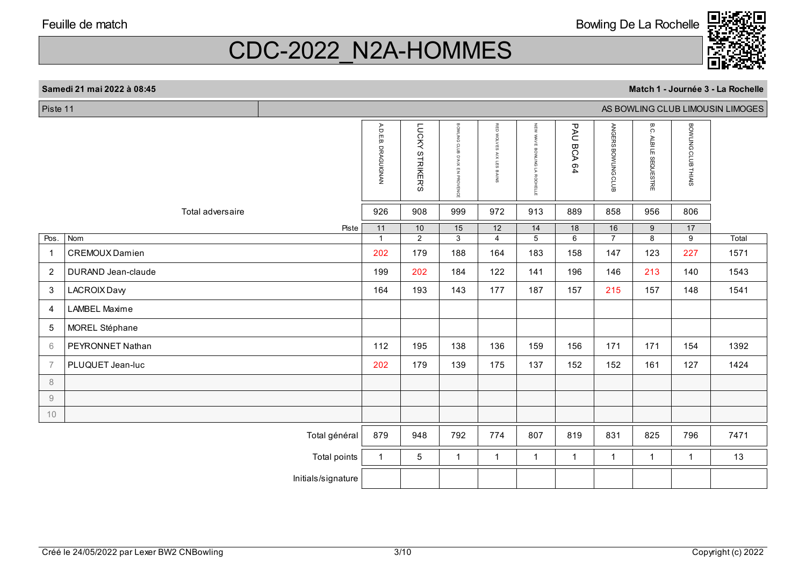

**Match 1 - Journée 3 - La Rochelle**

# CDC-2022\_N2A-HOMMES

| Piste 11<br>AS BOWLING CLUB LIMOUSIN LIMOGES |                      |                    |                     |                        |                                   |                             |                                 |                            |                      |                           |                      |       |
|----------------------------------------------|----------------------|--------------------|---------------------|------------------------|-----------------------------------|-----------------------------|---------------------------------|----------------------------|----------------------|---------------------------|----------------------|-------|
|                                              |                      |                    | A.D.E.B. DRAGUIGNAN | <b>LUCKY STRIKER'S</b> | BOMLING CLUB<br>D'AIX EN PROVENCE | RED WOLVES<br>AIX LES BAINS | NEW WAVE<br>BOWLING LA ROCHELLE | <b>PAU</b><br><b>BCA64</b> | ANGERS BOWLING CLUB  | B.C.<br>ALBI LE SEQUESTRE | BOWLING CLUB THIAIS  |       |
|                                              | Total adversaire     |                    | 926                 | 908                    | 999                               | 972                         | 913                             | 889                        | 858                  | 956                       | 806                  |       |
| Pos.                                         | Nom                  | Piste              | 11<br>$\mathbf{1}$  | 10<br>$\overline{2}$   | 15<br>$\overline{3}$              | 12<br>$\overline{4}$        | 14<br>$\overline{5}$            | 18<br>6                    | 16<br>$\overline{7}$ | 9<br>8                    | 17<br>$\overline{9}$ | Total |
| -1                                           | CREMOUX Damien       |                    | 202                 | 179                    | 188                               | 164                         | 183                             | 158                        | 147                  | 123                       | 227                  | 1571  |
| $\overline{2}$                               | DURAND Jean-claude   |                    | 199                 | 202                    | 184                               | 122                         | 141                             | 196                        | 146                  | 213                       | 140                  | 1543  |
| 3                                            | LACROIX Davy         |                    | 164                 | 193                    | 143                               | 177                         | 187                             | 157                        | 215                  | 157                       | 148                  | 1541  |
| $\overline{4}$                               | <b>LAMBEL Maxime</b> |                    |                     |                        |                                   |                             |                                 |                            |                      |                           |                      |       |
| 5                                            | MOREL Stéphane       |                    |                     |                        |                                   |                             |                                 |                            |                      |                           |                      |       |
| 6                                            | PEYRONNET Nathan     |                    | 112                 | 195                    | 138                               | 136                         | 159                             | 156                        | 171                  | 171                       | 154                  | 1392  |
| $\overline{7}$                               | PLUQUET Jean-luc     |                    | 202                 | 179                    | 139                               | 175                         | 137                             | 152                        | 152                  | 161                       | 127                  | 1424  |
| 8                                            |                      |                    |                     |                        |                                   |                             |                                 |                            |                      |                           |                      |       |
| $9\,$                                        |                      |                    |                     |                        |                                   |                             |                                 |                            |                      |                           |                      |       |
| 10                                           |                      |                    |                     |                        |                                   |                             |                                 |                            |                      |                           |                      |       |
|                                              |                      | Total général      | 879                 | 948                    | 792                               | 774                         | 807                             | 819                        | 831                  | 825                       | 796                  | 7471  |
|                                              |                      | Total points       | $\mathbf{1}$        | 5                      | $\overline{1}$                    | $\mathbf 1$                 | $\overline{1}$                  | $\mathbf{1}$               | $\mathbf{1}$         | $\overline{1}$            | $\mathbf{1}$         | 13    |
|                                              |                      | Initials/signature |                     |                        |                                   |                             |                                 |                            |                      |                           |                      |       |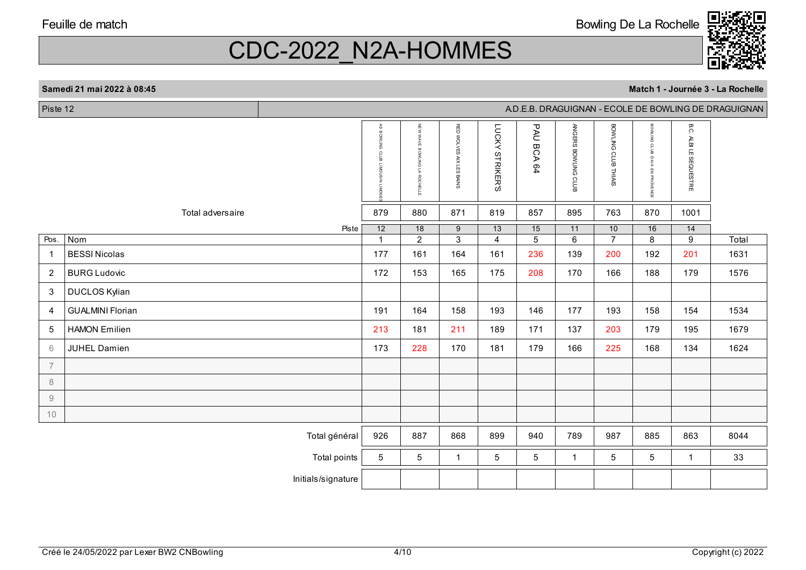CDC-2022\_N2A-HOMMES

A.D.E.B. DRAGUIGNAN - ECOLE DE BOWLING DE DRAGUIGNAN

Piste 12

|                        |                             | AS BOWLING CLUB<br><b>TIMOU</b><br><b>DAIT NISC</b> | NEW<br><b>WAVE</b><br>BONLING<br>$\overline{\mathbf{S}}$<br>ВОСНЕЦЕ | RED WOLVES AIX LES BAINS | LUCKY<br><b>STRIKER'S</b> | <b>PAU</b><br><b>BCA64</b> | ANGERS BOWLING CLUB | BOWLING CLUB THIAIS   | <b>BOWLING CLUB D'AIX EN PROVENCE</b> | B.C.<br>ALBILE.<br>SEQUESTRE |               |
|------------------------|-----------------------------|-----------------------------------------------------|---------------------------------------------------------------------|--------------------------|---------------------------|----------------------------|---------------------|-----------------------|---------------------------------------|------------------------------|---------------|
|                        | Total adversaire            | 879                                                 | 880                                                                 | 871                      | 819                       | 857                        | 895                 | 763                   | 870                                   | 1001                         |               |
|                        | Piste                       | 12                                                  | 18                                                                  | 9                        | 13                        | 15                         | 11                  | 10                    | 16                                    | 14                           |               |
| Pos.<br>$\overline{1}$ | Nom<br><b>BESSI Nicolas</b> | $\mathbf{1}$<br>177                                 | $\overline{2}$<br>161                                               | 3<br>164                 | $\overline{4}$<br>161     | 5 <sup>5</sup><br>236      | 6<br>139            | $\overline{7}$<br>200 | 8<br>192                              | 9<br>201                     | Total<br>1631 |
|                        |                             |                                                     |                                                                     |                          |                           |                            |                     |                       |                                       |                              |               |
| $\overline{2}$         | <b>BURG Ludovic</b>         | 172                                                 | 153                                                                 | 165                      | 175                       | 208                        | 170                 | 166                   | 188                                   | 179                          | 1576          |
| $\mathbf{3}$           | DUCLOS Kylian               |                                                     |                                                                     |                          |                           |                            |                     |                       |                                       |                              |               |
| $\overline{4}$         | <b>GUALMINI Florian</b>     | 191                                                 | 164                                                                 | 158                      | 193                       | 146                        | 177                 | 193                   | 158                                   | 154                          | 1534          |
| 5                      | <b>HAMON Emilien</b>        | 213                                                 | 181                                                                 | 211                      | 189                       | 171                        | 137                 | 203                   | 179                                   | 195                          | 1679          |
| 6                      | <b>JUHEL Damien</b>         | 173                                                 | 228                                                                 | 170                      | 181                       | 179                        | 166                 | 225                   | 168                                   | 134                          | 1624          |
| $\overline{7}$         |                             |                                                     |                                                                     |                          |                           |                            |                     |                       |                                       |                              |               |
| $\,8\,$                |                             |                                                     |                                                                     |                          |                           |                            |                     |                       |                                       |                              |               |
| 9                      |                             |                                                     |                                                                     |                          |                           |                            |                     |                       |                                       |                              |               |
| 10                     |                             |                                                     |                                                                     |                          |                           |                            |                     |                       |                                       |                              |               |
|                        | Total général               | 926                                                 | 887                                                                 | 868                      | 899                       | 940                        | 789                 | 987                   | 885                                   | 863                          | 8044          |
|                        | Total points                | $5\phantom{.0}$                                     | $5\phantom{.0}$                                                     | $\mathbf 1$              | $5\phantom{.0}$           | $5\phantom{.0}$            | $\mathbf{1}$        | $5\phantom{.0}$       | $5\phantom{.0}$                       | $\mathbf 1$                  | 33            |
|                        | Initials/signature          |                                                     |                                                                     |                          |                           |                            |                     |                       |                                       |                              |               |

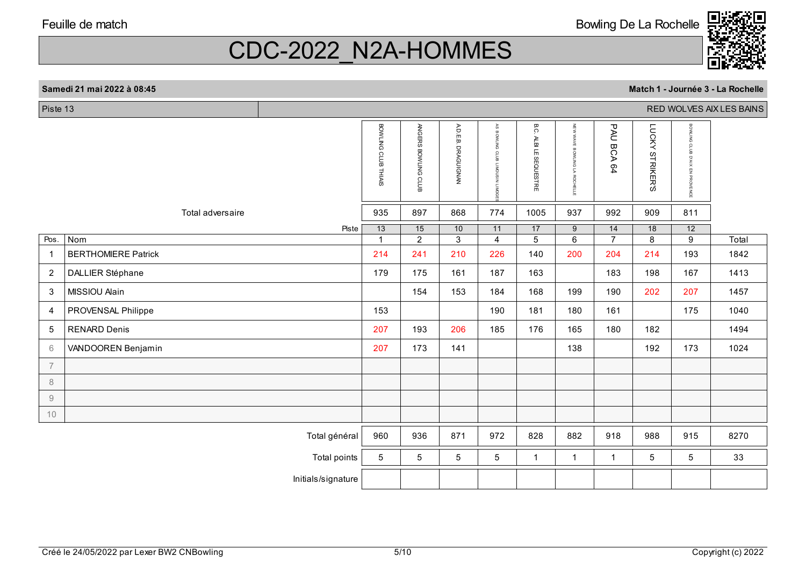Bowling De La Rochelle



# CDC-2022\_N2A-HOMMES

#### **Samedi 21 mai 2022 à 08:45**

| Piste 13       |                            |                    |                      |                                   |                              |                                   |                               |                                              |                      |                           |                                                              | RED WOLVES AIX LES BAINS |
|----------------|----------------------------|--------------------|----------------------|-----------------------------------|------------------------------|-----------------------------------|-------------------------------|----------------------------------------------|----------------------|---------------------------|--------------------------------------------------------------|--------------------------|
|                |                            |                    | BOWLING CLUB THIAIS  | ANGERS BOWLING CLUB               | AD.E.B.<br><b>DRAGUIGNAN</b> | AS BOWLING CLUB<br>CIMOUS IN LINO | <b>B.C. ALBI LE SEQUESTRE</b> | NEW<br><b>WAVE</b><br>BOWLING LA<br>ROCHELLE | <b>PAU</b><br>BCA64  | LUCKY<br><b>STRIKER'S</b> | BOWLING CLUB<br>SIAN.<br>$\overline{\mathbb{F}}$<br>PROVENCE |                          |
|                | Total adversaire           |                    | 935                  | 897                               | 868                          | 774                               | 1005                          | 937                                          | 992                  | 909                       | 811                                                          |                          |
| Pos.           | Nom                        | Piste              | 13<br>$\overline{1}$ | $\overline{15}$<br>$\overline{2}$ | 10<br>$\overline{3}$         | 11<br>$\overline{4}$              | 17<br>$\overline{5}$          | 9<br>$\overline{6}$                          | 14<br>$\overline{7}$ | 18<br>8                   | $\overline{12}$<br>9                                         | Total                    |
| -1             | <b>BERTHOMIERE Patrick</b> |                    | 214                  | 241                               | 210                          | 226                               | 140                           | 200                                          | 204                  | 214                       | 193                                                          | 1842                     |
| $\overline{2}$ | DALLIER Stéphane           |                    | 179                  | 175                               | 161                          | 187                               | 163                           |                                              | 183                  | 198                       | 167                                                          | 1413                     |
| $\mathbf{3}$   | MISSIOU Alain              |                    |                      | 154                               | 153                          | 184                               | 168                           | 199                                          | 190                  | 202                       | 207                                                          | 1457                     |
| $\overline{4}$ | PROVENSAL Philippe         |                    | 153                  |                                   |                              | 190                               | 181                           | 180                                          | 161                  |                           | 175                                                          | 1040                     |
| 5              | <b>RENARD Denis</b>        |                    | 207                  | 193                               | 206                          | 185                               | 176                           | 165                                          | 180                  | 182                       |                                                              | 1494                     |
| 6              | VANDOOREN Benjamin         |                    | 207                  | 173                               | 141                          |                                   |                               | 138                                          |                      | 192                       | 173                                                          | 1024                     |
| $\overline{7}$ |                            |                    |                      |                                   |                              |                                   |                               |                                              |                      |                           |                                                              |                          |
| 8              |                            |                    |                      |                                   |                              |                                   |                               |                                              |                      |                           |                                                              |                          |
| $\emph{9}$     |                            |                    |                      |                                   |                              |                                   |                               |                                              |                      |                           |                                                              |                          |
| 10             |                            |                    |                      |                                   |                              |                                   |                               |                                              |                      |                           |                                                              |                          |
|                |                            | Total général      | 960                  | 936                               | 871                          | 972                               | 828                           | 882                                          | 918                  | 988                       | 915                                                          | 8270                     |
|                |                            | Total points       | 5                    | 5                                 | 5                            | 5                                 | $\mathbf{1}$                  | $\mathbf{1}$                                 | $\overline{1}$       | 5                         | 5                                                            | 33                       |
|                |                            | Initials/signature |                      |                                   |                              |                                   |                               |                                              |                      |                           |                                                              |                          |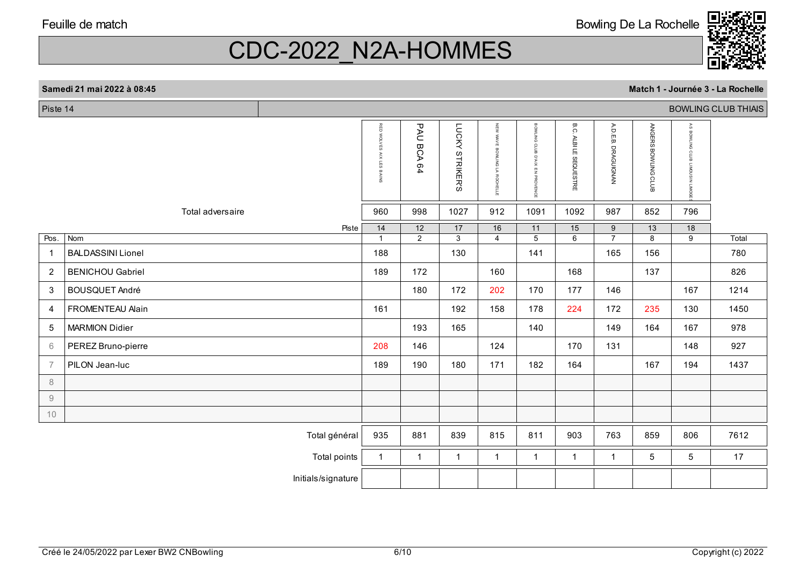Bowling De La Rochelle



**Match 1 - Journée 3 - La Rochelle**

### CDC-2022\_N2A-HOMMES

#### Piste 14 BOWLING CLUB THIAIS B.C A.D.E.B. RED RED WOLVES AIX LES BAINS PAU BCA 64 PAU BCA 64 LUCKY STRIKER'S LUCKY STRIKER'S NEW WAVE BOWLING LA ROCHELLE NEW WAVE BOWLING LA ROCHELLE BOWLING CLUB D'AIX EN PROVENCE BOWLING CLUB D'AIX EN PROVENCE B.C. ALBI LE SEQUESTRE A.D.E.B. DRAGUIGNAN ANGERS BOWLING CLUB ANGERS BOWLING CLUB AS BOWLING CLUB LIMOUSIN LIMOGE ΑS BOWLING CLUB LIMOUSIN LIMO WOLVES ALBI LE SEQUESTRE **DRAGUIGNAN** AIX LES BAINS S Total adversaire 960 998 1027 912 1091 1092 987 852 796 Pistee 14 12 17 16 11 15 9 13 18 Pos. Nom 1 2 3 4 5 6 7 8 9 Total BALDASSINI Lionel 188 130 141 165 156 780 12 BENICHOU Gabriel 189 172 160 168 137 826 3 BOUSQUET André 180 172 202 170 177 146 167 1214 4 FROMENTEAU Alain 161 192 158 178 224 172 235 130 1450 5 MARMION Didier 193 165 140 149 164 167 978 6PEREZ Bruno-pierre 208 | 208 | 208 | 146 | 124 | 170 | 131 | 148 | 927 7 PILON Jean-luc 189 190 180 171 182 164 167 194 1437 8 910Total général | 935 | 881 | 839 | 815 | 811 | 903 | 763 | 859 | 806 | 7612 Total points | 1 | 1 | 1 | 1 | 1 | 1 | 1 | 5 | 5 | 17 Initials/signature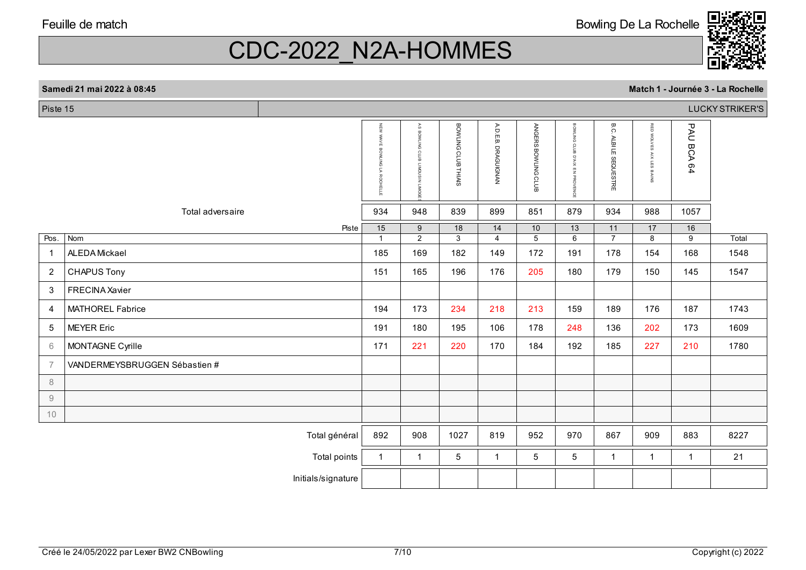Bowling De La Rochelle



**Match 1 - Journée 3 - La Rochelle**

### CDC-2022\_N2A-HOMMES

#### Piste 15 LUCKY STRIKER'S B.C NEW WAVE BOWLING LA ROCHELLE  $\frac{1}{2}$ AS BOWLING CLUB LIMOUSIN LIMOGE BOWLING CLUB THIAIS BOWLING CLUB THIAIS A.D.E.B. DRAGUIGNAN A.D.E.B. DRAGUIGNAN ANGERS BOWLING CLUB ANGERS BOWLING CLUB BOWLING BOWLING CLUB D'AIX EN PROVENCE B.C. ALBI LE SEQUESTRE RED WOLVES AIX LES BAINS RED WOLVES AIX LES BAINS PAU BCA 64 PAU BCA 64 E<br>N BOWLING **WAVE** ALBILE SEQUESTRE cros BOWLING LA  $\overline{2}$ D'AIX EN PROVENCE F DIMID и воснеце **S** S Total adversaire 934 948 839 899 851 879 934 988 1057 Pistee | 15 | 9 | 18 | 14 | 10 | 13 | 11 | 17 | 16 Pos. Nom 1 2 3 4 5 6 7 8 9 Total 1 ALEDA Mickael 185 169 182 149 172 191 178 154 168 1548 2 CHAPUS Tony 151 165 196 176 205 180 179 150 145 1547 3 FRECINA Xavier 4194 | 173 | 234 | 218 | 213 | 189 | 189 | 176 | 187 | 1743 | 214 | 215 | 216 | 217 | 218 | 213 | 213 | 213 | 2 55 |MEYER Eric | 191 | 180 | 195 | 106 | 178 | 248 | 136 | 202 | 173 | 1609 MONTAGNE Cyrille **1780** 67 VANDERMEYSBRUGGEN Sébastien # 8 910Total général | 892 | 908 | 1027 | 819 | 952 | 970 | 867 | 909 | 883 | 8227 Total points | 1 | 1 | 5 | 1 | 5 | 5 | 1 | 1 | 1 | 21 Initials/signature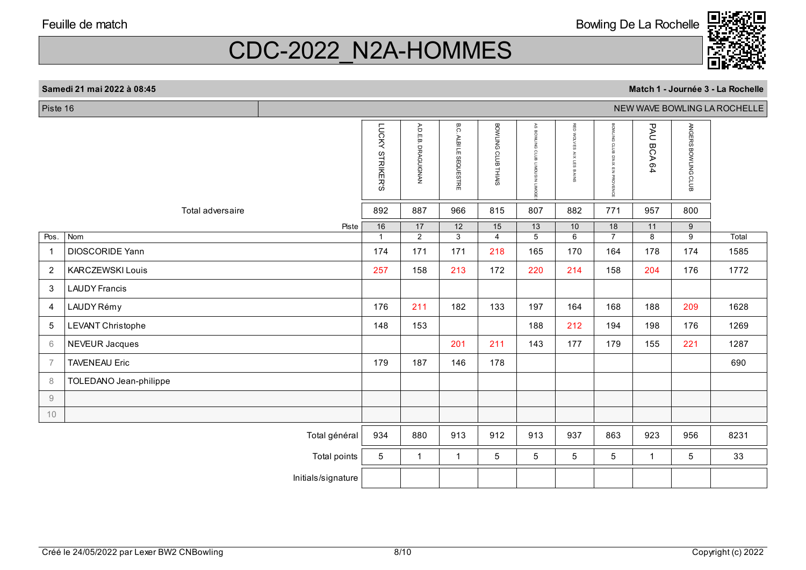Bowling De La Rochelle



# CDC-2022\_N2A-HOMMES

#### **Samedi 21 mai 2022 à 08:45**

П

| Piste 16       |                         |                    |                 |                                  |                                  |                     |                             |                             |                                              |                         |                     | NEW WAVE BOWLING LA ROCHELLE |
|----------------|-------------------------|--------------------|-----------------|----------------------------------|----------------------------------|---------------------|-----------------------------|-----------------------------|----------------------------------------------|-------------------------|---------------------|------------------------------|
|                |                         |                    | LUCKY STRIKER'S | A.D.E.<br>்<br><b>DRAGUIGNAN</b> | B.C.<br><b>ALBI LE SEQUESTRE</b> | BOWLING CLUB THIAIS | AS BOWLING CLUB<br>NISOONIT | RED WOLVES<br>AIX LES BAINS | BOWLING<br>CLUB<br>B<br>D'AIX EN<br>PROVENCE | PAU<br><b>BCA</b><br>64 | ANGERS BOWLING CLUB |                              |
|                | Total adversaire        |                    | 892             | 887                              | 966                              | 815                 | 807                         | 882                         | 771                                          | 957                     | 800                 |                              |
|                |                         | Piste              | $\overline{16}$ | $\overline{17}$                  | $\overline{12}$                  | $\overline{15}$     | $\overline{13}$             | 10                          | $\overline{18}$                              | 11                      | 9                   |                              |
| Pos.           | Nom                     |                    | $\overline{1}$  | 2                                | 3                                | $\overline{4}$      | 5                           | 6                           | $\overline{7}$                               | 8                       | 9                   | Total                        |
| $\overline{1}$ | DIOSCORIDE Yann         |                    | 174             | 171                              | 171                              | 218                 | 165                         | 170                         | 164                                          | 178                     | 174                 | 1585                         |
| $\overline{c}$ | <b>KARCZEWSKI Louis</b> |                    | 257             | 158                              | 213                              | 172                 | 220                         | 214                         | 158                                          | 204                     | 176                 | 1772                         |
| 3              | <b>LAUDY Francis</b>    |                    |                 |                                  |                                  |                     |                             |                             |                                              |                         |                     |                              |
| $\overline{4}$ | LAUDY Rémy              |                    | 176             | 211                              | 182                              | 133                 | 197                         | 164                         | 168                                          | 188                     | 209                 | 1628                         |
| 5              | LEVANT Christophe       |                    | 148             | 153                              |                                  |                     | 188                         | 212                         | 194                                          | 198                     | 176                 | 1269                         |
| $6\,$          | <b>NEVEUR Jacques</b>   |                    |                 |                                  | 201                              | 211                 | 143                         | 177                         | 179                                          | 155                     | 221                 | 1287                         |
| $\overline{7}$ | <b>TAVENEAU Eric</b>    |                    | 179             | 187                              | 146                              | 178                 |                             |                             |                                              |                         |                     | 690                          |
| 8              | TOLEDANO Jean-philippe  |                    |                 |                                  |                                  |                     |                             |                             |                                              |                         |                     |                              |
| $\hbox{9}$     |                         |                    |                 |                                  |                                  |                     |                             |                             |                                              |                         |                     |                              |
| 10             |                         |                    |                 |                                  |                                  |                     |                             |                             |                                              |                         |                     |                              |
|                |                         | Total général      | 934             | 880                              | 913                              | 912                 | 913                         | 937                         | 863                                          | 923                     | 956                 | 8231                         |
|                |                         | Total points       | $5\phantom{.0}$ | $\mathbf{1}$                     | $\mathbf{1}$                     | 5                   | 5                           | 5                           | 5                                            | $\mathbf{1}$            | 5                   | 33                           |
|                |                         | Initials/signature |                 |                                  |                                  |                     |                             |                             |                                              |                         |                     |                              |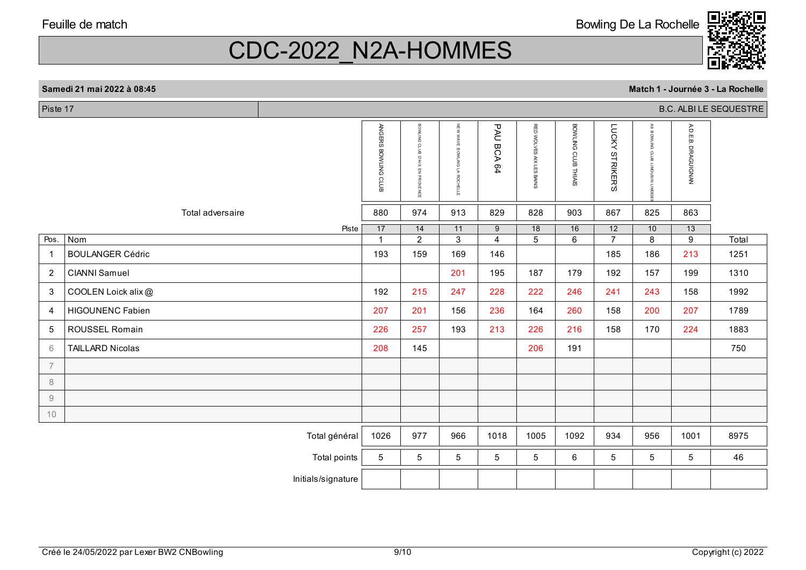Bowling De La Rochelle



# CDC-2022\_N2A-HOMMES

#### **Samedi 21 mai 2022 à 08:45 Match 1 - Journée 3 - La Rochelle** Piste 17 B.C. ALBI LE SEQUESTRE

|  | Match 1 - Journée 3 - La Rochell |  |
|--|----------------------------------|--|
|--|----------------------------------|--|

|                |                         | ANGERS BOWLING CLUB | BOWLING<br>crus<br>X N,Q<br>핗<br>PROVENCE | NEW WAVE<br>BOWLING LA<br>ROCHELLE | <b>PAU</b><br><b>BCA64</b> | RED WOLVES AIX LES BAINS          | BOWLING CLUB THIAIS  | LUCKY<br><b>STRIKER'S</b>         | $\approx$<br>BOWLING CLUB<br>DWIT NISNOWIT | A.D.E.B. DRAGUIGNAN               |       |
|----------------|-------------------------|---------------------|-------------------------------------------|------------------------------------|----------------------------|-----------------------------------|----------------------|-----------------------------------|--------------------------------------------|-----------------------------------|-------|
|                | Total adversaire        | 880                 | 974                                       | 913                                | 829                        | 828                               | 903                  | 867                               | 825                                        | 863                               |       |
| Pos.           | Piste<br>Nom            | 17<br>$\mathbf{1}$  | 14<br>$\overline{2}$                      | 11<br>$\overline{3}$               | 9<br>$\overline{4}$        | $\overline{18}$<br>$\overline{5}$ | 16<br>$\overline{6}$ | $\overline{12}$<br>$\overline{7}$ | 10<br>$\overline{8}$                       | $\overline{13}$<br>$\overline{9}$ | Total |
| $\overline{1}$ | <b>BOULANGER Cédric</b> | 193                 | 159                                       | 169                                | 146                        |                                   |                      | 185                               | 186                                        | 213                               | 1251  |
| 2              | <b>CIANNI Samuel</b>    |                     |                                           | 201                                | 195                        | 187                               | 179                  | 192                               | 157                                        | 199                               | 1310  |
| 3              | COOLEN Loick alix@      | 192                 | 215                                       | 247                                | 228                        | 222                               | 246                  | 241                               | 243                                        | 158                               | 1992  |
| 4              | <b>HIGOUNENC Fabien</b> | 207                 | 201                                       | 156                                | 236                        | 164                               | 260                  | 158                               | 200                                        | 207                               | 1789  |
| 5              | ROUSSEL Romain          | 226                 | 257                                       | 193                                | 213                        | 226                               | 216                  | 158                               | 170                                        | 224                               | 1883  |
| 6              | <b>TAILLARD Nicolas</b> | 208                 | 145                                       |                                    |                            | 206                               | 191                  |                                   |                                            |                                   | 750   |
| $\overline{7}$ |                         |                     |                                           |                                    |                            |                                   |                      |                                   |                                            |                                   |       |
| 8              |                         |                     |                                           |                                    |                            |                                   |                      |                                   |                                            |                                   |       |
| 9              |                         |                     |                                           |                                    |                            |                                   |                      |                                   |                                            |                                   |       |
| 10             |                         |                     |                                           |                                    |                            |                                   |                      |                                   |                                            |                                   |       |
|                | Total général           | 1026                | 977                                       | 966                                | 1018                       | 1005                              | 1092                 | 934                               | 956                                        | 1001                              | 8975  |
|                | Total points            | $5\phantom{.0}$     | 5                                         | 5                                  | 5                          | 5                                 | 6                    | 5                                 | 5                                          | 5                                 | 46    |
|                | Initials/signature      |                     |                                           |                                    |                            |                                   |                      |                                   |                                            |                                   |       |